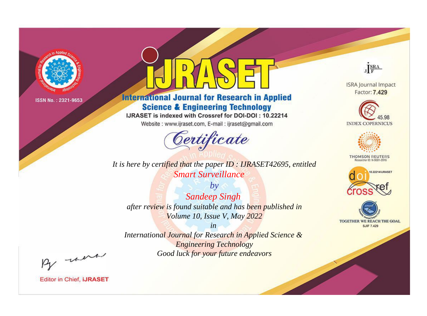

# **International Journal for Research in Applied Science & Engineering Technology**

IJRASET is indexed with Crossref for DOI-DOI: 10.22214

Website: www.ijraset.com, E-mail: ijraset@gmail.com



It is here by certified that the paper ID: IJRASET42695, entitled **Smart Surveillance** 

 $by$ **Sandeep Singh** after review is found suitable and has been published in Volume 10, Issue V, May 2022

 $in$ International Journal for Research in Applied Science & **Engineering Technology** Good luck for your future endeavors



**ISRA Journal Impact** Factor: 7.429





**THOMSON REUTERS** 



TOGETHER WE REACH THE GOAL **SJIF 7.429** 

By morn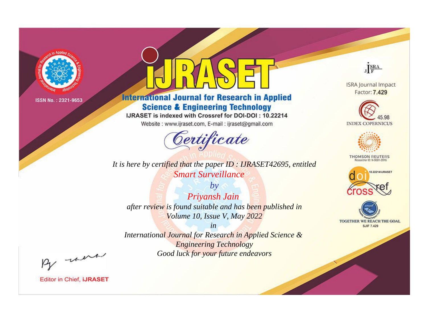

# **International Journal for Research in Applied Science & Engineering Technology**

IJRASET is indexed with Crossref for DOI-DOI: 10.22214

Website: www.ijraset.com, E-mail: ijraset@gmail.com



*It is here by certified that the paper ID : IJRASET42695, entitled Smart Surveillance*

*by Priyansh Jain after review is found suitable and has been published in Volume 10, Issue V, May 2022*

*in International Journal for Research in Applied Science & Engineering Technology Good luck for your future endeavors*



**ISRA Journal Impact** Factor: 7.429





**THOMSON REUTERS** 





By morn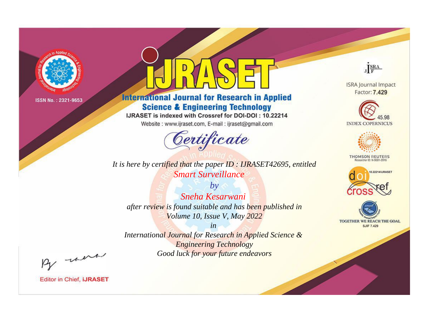

# **International Journal for Research in Applied Science & Engineering Technology**

IJRASET is indexed with Crossref for DOI-DOI: 10.22214

Website: www.ijraset.com, E-mail: ijraset@gmail.com



*It is here by certified that the paper ID : IJRASET42695, entitled Smart Surveillance*

*by Sneha Kesarwani after review is found suitable and has been published in Volume 10, Issue V, May 2022*

*in International Journal for Research in Applied Science & Engineering Technology Good luck for your future endeavors*



**ISRA Journal Impact** Factor: 7.429





**THOMSON REUTERS** 





By morn